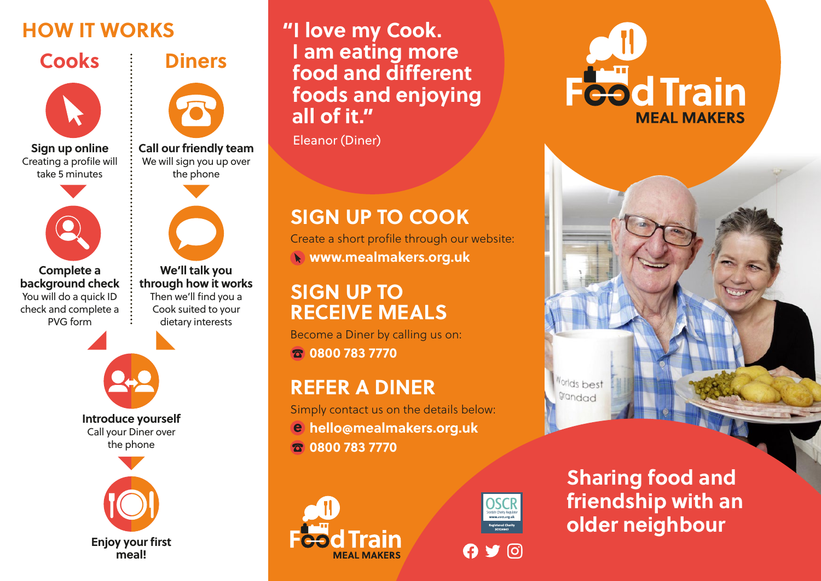

**Sign up online** Creating a profile will take 5 minutes



**Complete a background check** You will do a quick ID check and complete a PVG form

**We'll talk you through how it works** Then we'll find you a

**Call our friendly team** We will sign you up over the phone

**Diners**





**Introduce yourself** Call your Diner over the phone



## **HOW IT WORKS "I love my Cook. I am eating more food and different foods and enjoying all of it."**

Eleanor (Diner)

# **SIGN UP TO COOK**

Create a short profile through our website: **www.mealmakers.org.uk**

# **SIGN UP TO RECEIVE MEALS**

Become a Diner by calling us on: **0800 783 7770**

# **REFER A DINER**

Simply contact us on the details below: **hello@mealmakers.org.uk 0800 783 7770**





**Sharing food and friendship with an older neighbour**

Worlds best grandad

**Feed Train** 

**MFAI MAKERS**